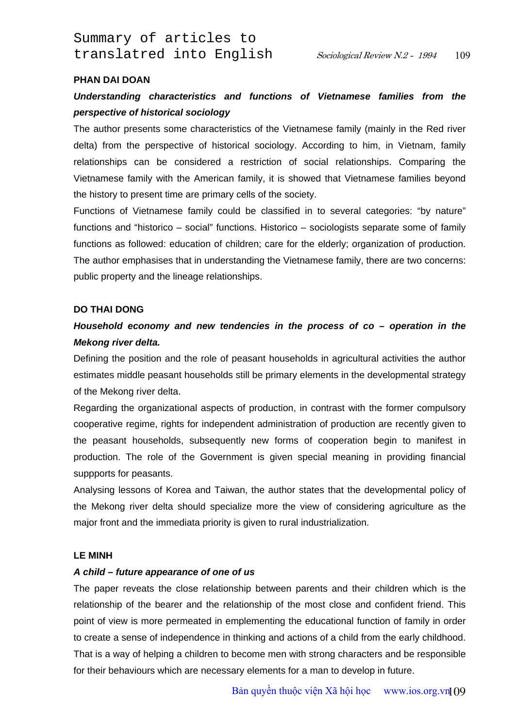Summary of articles to translatred into English Sociological Review N.2 - 1994

### **PHAN DAI DOAN**

## *Understanding characteristics and functions of Vietnamese families from the perspective of historical sociology*

The author presents some characteristics of the Vietnamese family (mainly in the Red river delta) from the perspective of historical sociology. According to him, in Vietnam, family relationships can be considered a restriction of social relationships. Comparing the Vietnamese family with the American family, it is showed that Vietnamese families beyond the history to present time are primary cells of the society.

Functions of Vietnamese family could be classified in to several categories: "by nature" functions and "historico – social" functions. Historico – sociologists separate some of family functions as followed: education of children; care for the elderly; organization of production. The author emphasises that in understanding the Vietnamese family, there are two concerns: public property and the lineage relationships.

#### **DO THAI DONG**

# *Household economy and new tendencies in the process of co – operation in the Mekong river delta.*

Defining the position and the role of peasant households in agricultural activities the author estimates middle peasant households still be primary elements in the developmental strategy of the Mekong river delta.

Regarding the organizational aspects of production, in contrast with the former compulsory cooperative regime, rights for independent administration of production are recently given to the peasant households, subsequently new forms of cooperation begin to manifest in production. The role of the Government is given special meaning in providing financial suppports for peasants.

Analysing lessons of Korea and Taiwan, the author states that the developmental policy of the Mekong river delta should specialize more the view of considering agriculture as the major front and the immediata priority is given to rural industrialization.

#### **LE MINH**

## *A child – future appearance of one of us*

The paper reveats the close relationship between parents and their children which is the relationship of the bearer and the relationship of the most close and confident friend. This point of view is more permeated in emplementing the educational function of family in order to create a sense of independence in thinking and actions of a child from the early childhood. That is a way of helping a children to become men with strong characters and be responsible for their behaviours which are necessary elements for a man to develop in future.